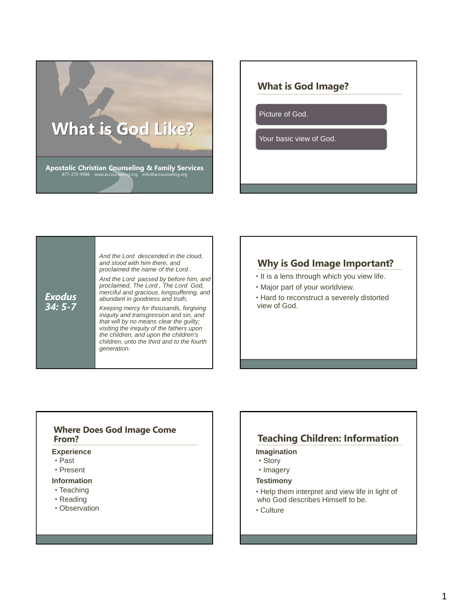

# **What is God Image?**

Picture of God.

Your basic view of God.

*Exodus 34: 5-7 And the Lord descended in the cloud, and stood with him there, and proclaimed the name of the Lord . And the Lord passed by before him, and proclaimed, The Lord , The Lord God, merciful and gracious, longsuffering, and abundant in goodness and truth, Keeping mercy for thousands, forgiving iniquity and transgression and sin, and that will by no means clear the guilty; visiting the iniquity of the fathers upon the children, and upon the children's children, unto the third and to the fourth generation.*

## **Why is God Image Important?**

- It is a lens through which you view life.
- Major part of your worldview.
- Hard to reconstruct a severely distorted view of God.

### **Where Does God Image Come From?**

### **Experience**

- Past
- Present

### **Information**

- Teaching
- Reading
- Observation

## **Teaching Children: Information**

#### **Imagination**

- Story
- Imagery

#### **Testimony**

- Help them interpret and view life in light of who God describes Himself to be.
- Culture